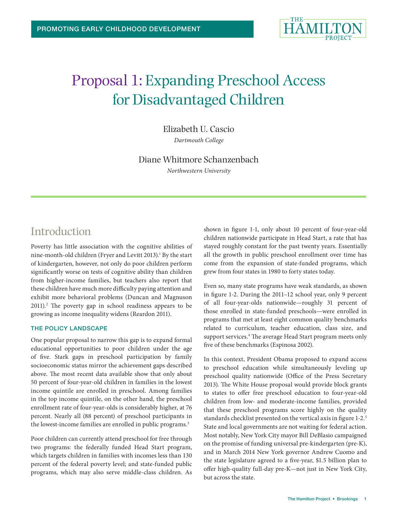

# Proposal 1: Expanding Preschool Access for Disadvantaged Children

Elizabeth U. Cascio

*Dartmouth College*

### Diane Whitmore Schanzenbach

*Northwestern University*

### Introduction

Poverty has little association with the cognitive abilities of nine-month-old children (Fryer and Levitt 2013).<sup>1</sup> By the start of kindergarten, however, not only do poor children perform significantly worse on tests of cognitive ability than children from higher-income families, but teachers also report that these children have much more difficulty paying attention and exhibit more behavioral problems (Duncan and Magnuson 2011).<sup>2</sup> The poverty gap in school readiness appears to be growing as income inequality widens (Reardon 2011).

#### THE POLICY LANDSCAPE

One popular proposal to narrow this gap is to expand formal educational opportunities to poor children under the age of five. Stark gaps in preschool participation by family socioeconomic status mirror the achievement gaps described above. The most recent data available show that only about 50 percent of four-year-old children in families in the lowest income quintile are enrolled in preschool. Among families in the top income quintile, on the other hand, the preschool enrollment rate of four-year-olds is considerably higher, at 76 percent. Nearly all (88 percent) of preschool participants in the lowest-income families are enrolled in public programs.<sup>3</sup>

Poor children can currently attend preschool for free through two programs: the federally funded Head Start program, which targets children in families with incomes less than 130 percent of the federal poverty level; and state-funded public programs, which may also serve middle-class children. As shown in figure 1-1, only about 10 percent of four-year-old children nationwide participate in Head Start, a rate that has stayed roughly constant for the past twenty years. Essentially all the growth in public preschool enrollment over time has come from the expansion of state-funded programs, which grew from four states in 1980 to forty states today.

Even so, many state programs have weak standards, as shown in figure 1-2. During the 2011–12 school year, only 9 percent of all four-year-olds nationwide—roughly 31 percent of those enrolled in state-funded preschools—were enrolled in programs that met at least eight common quality benchmarks related to curriculum, teacher education, class size, and support services.4 The average Head Start program meets only five of these benchmarks (Espinosa 2002).

In this context, President Obama proposed to expand access to preschool education while simultaneously leveling up preschool quality nationwide (Office of the Press Secretary 2013). The White House proposal would provide block grants to states to offer free preschool education to four-year-old children from low- and moderate-income families, provided that these preschool programs score highly on the quality standards checklist presented on the vertical axis in figure 1-2.5 State and local governments are not waiting for federal action. Most notably, New York City mayor Bill DeBlasio campaigned on the promise of funding universal pre-kindergarten (pre-K), and in March 2014 New York governor Andrew Cuomo and the state legislature agreed to a five-year, \$1.5 billion plan to offer high-quality full-day pre-K—not just in New York City, but across the state.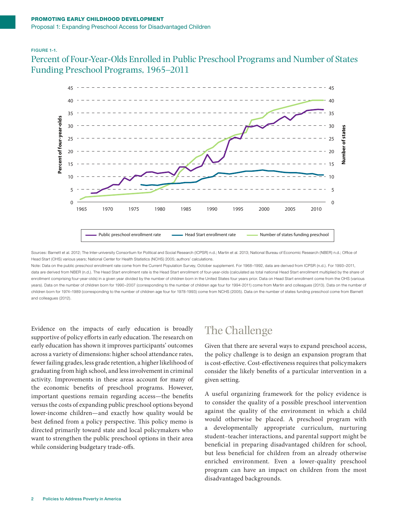#### FIGURE 1-1.

Percent of Four-Year-Olds Enrolled in Public Preschool Programs and Number of States Funding Preschool Programs, 1965–2011



Sources: Barnett et al. 2012; The Inter-university Consortium for Political and Social Research (ICPSR) n.d.; Martin et al. 2013; National Bureau of Economic Research (NBER) n.d.; Office of Head Start (OHS) various years; National Center for Health Statistics (NCHS) 2005; authors' calculations.

Note: Data on the public preschool enrollment rate come from the Current Population Survey, October supplement. For 1968–1992, data are derived from ICPSR (n.d.). For 1993–2011, data are derived from NBER (n.d.). The Head Start enrollment rate is the Head Start enrollment of four-year-olds (calculated as total national Head Start enrollment multiplied by the share of enrollment comprising four-year-olds) in a given year divided by the number of children born in the United States four years prior. Data on Head Start enrollment come from the OHS (various years). Data on the number of children born for 1990-2007 (corresponding to the number of children age four for 1994-2011) come from Martin and colleagues (2013). Data on the number of children born for 1974–1989 (corresponding to the number of children age four for 1978-1993) come from NCHS (2005). Data on the number of states funding preschool come from Barnett and colleagues (2012).

Evidence on the impacts of early education is broadly supportive of policy efforts in early education. The research on early education has shown it improves participants' outcomes across a variety of dimensions: higher school attendance rates, fewer failing grades, less grade retention, a higher likelihood of graduating from high school, and less involvement in criminal activity. Improvements in these areas account for many of the economic benefits of preschool programs. However, important questions remain regarding access—the benefits versus the costs of expanding public preschool options beyond lower-income children—and exactly how quality would be best defined from a policy perspective. This policy memo is directed primarily toward state and local policymakers who want to strengthen the public preschool options in their area while considering budgetary trade-offs.

# The Challenge

Given that there are several ways to expand preschool access, the policy challenge is to design an expansion program that is cost-effective. Cost-effectiveness requires that policymakers consider the likely benefits of a particular intervention in a given setting.

A useful organizing framework for the policy evidence is to consider the quality of a possible preschool intervention against the quality of the environment in which a child would otherwise be placed. A preschool program with a developmentally appropriate curriculum, nurturing student–teacher interactions, and parental support might be beneficial in preparing disadvantaged children for school, but less beneficial for children from an already otherwise enriched environment. Even a lower-quality preschool program can have an impact on children from the most disadvantaged backgrounds.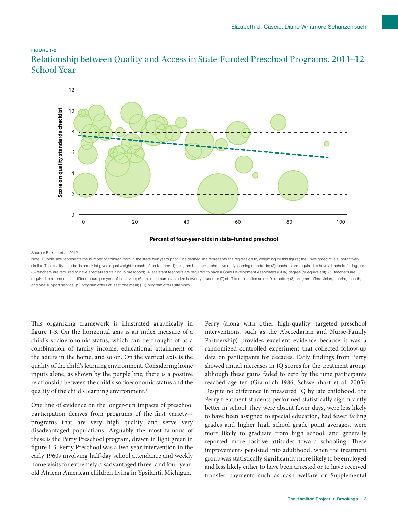#### FIGURE 1-2.

Relationship between Quality and Access in State-Funded Preschool Programs, 2011–12 School Year



**Percent of four-year-olds in state-funded preschool**

Source: Barnett et al. 2012.

Note: Bubble size represents the number of children born in the state four years prior. The dashed line represents the regression fit, weighting by this figure; the unweighted fit is substantively similar. The quality standards checklist gives equal weight to each of ten factors: (1) program has comprehensive early learning standards; (2) teachers are required to have a bachelor's degree; (3) teachers are required to have specialized training in preschool; (4) assistant teachers are required to have a Child Development Associates (CDA) degree (or equivalent); (5) teachers are required to attend at least fifteen hours per year of in-service; (6) the maximum class size is twenty students; (7) staff to child ratios are 1:10 or better; (8) program offers vision, hearing, health,

This organizing framework is illustrated graphically in figure 1-3. On the horizontal axis is an index measure of a child's socioeconomic status, which can be thought of as a combination of family income, educational attainment of the adults in the home, and so on. On the vertical axis is the quality of the child's learning environment. Considering home inputs alone, as shown by the purple line, there is a positive relationship between the child's socioeconomic status and the quality of the child's learning environment.6

One line of evidence on the longer-run impacts of preschool participation derives from programs of the first variety programs that are very high quality and serve very disadvantaged populations. Arguably the most famous of these is the Perry Preschool program, drawn in light green in figure 1-3. Perry Preschool was a two-year intervention in the early 1960s involving half-day school attendance and weekly home visits for extremely disadvantaged three- and four-yearold African American children living in Ypsilanti, Michigan.

Perry (along with other high-quality, targeted preschool interventions, such as the Abecedarian and Nurse-Family Partnership) provides excellent evidence because it was a randomized controlled experiment that collected follow-up data on participants for decades. Early findings from Perry showed initial increases in IQ scores for the treatment group, although these gains faded to zero by the time participants reached age ten (Gramlich 1986; Schweinhart et al. 2005). Despite no difference in measured IQ by late childhood, the Perry treatment students performed statistically significantly better in school: they were absent fewer days, were less likely to have been assigned to special education, had fewer failing grades and higher high school grade point averages, were more likely to graduate from high school, and generally reported more-positive attitudes toward schooling. These improvements persisted into adulthood, when the treatment group was statistically significantly more likely to be employed and less likely either to have been arrested or to have received transfer payments such as cash welfare or Supplemental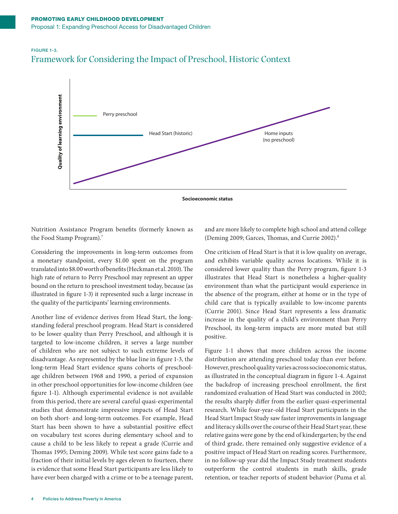### FIGURE 1-3. Framework for Considering the Impact of Preschool, Historic Context



**Socioeconomic status**

Nutrition Assistance Program benefits (formerly known as the Food Stamp Program).7

Considering the improvements in long-term outcomes from a monetary standpoint, every \$1.00 spent on the program translated into \$8.00 worth of benefits (Heckman et al. 2010). The high rate of return to Perry Preschool may represent an upper bound on the return to preschool investment today, because (as illustrated in figure 1-3) it represented such a large increase in the quality of the participants' learning environments.

Another line of evidence derives from Head Start, the longstanding federal preschool program. Head Start is considered to be lower quality than Perry Preschool, and although it is targeted to low-income children, it serves a large number of children who are not subject to such extreme levels of disadvantage. As represented by the blue line in figure 1-3, the long-term Head Start evidence spans cohorts of preschoolage children between 1968 and 1990, a period of expansion in other preschool opportunities for low-income children (see figure 1-1). Although experimental evidence is not available from this period, there are several careful quasi-experimental studies that demonstrate impressive impacts of Head Start on both short- and long-term outcomes. For example, Head Start has been shown to have a substantial positive effect on vocabulary test scores during elementary school and to cause a child to be less likely to repeat a grade (Currie and Thomas 1995; Deming 2009). While test score gains fade to a fraction of their initial levels by ages eleven to fourteen, there is evidence that some Head Start participants are less likely to have ever been charged with a crime or to be a teenage parent,

and are more likely to complete high school and attend college (Deming 2009; Garces, Thomas, and Currie 2002).8

One criticism of Head Start is that it is low quality on average, and exhibits variable quality across locations. While it is considered lower quality than the Perry program, figure 1-3 illustrates that Head Start is nonetheless a higher-quality environment than what the participant would experience in the absence of the program, either at home or in the type of child care that is typically available to low-income parents (Currie 2001). Since Head Start represents a less dramatic increase in the quality of a child's environment than Perry Preschool, its long-term impacts are more muted but still positive.

Figure 1-1 shows that more children across the income distribution are attending preschool today than ever before. However, preschool quality varies across socioeconomic status, as illustrated in the conceptual diagram in figure 1-4. Against the backdrop of increasing preschool enrollment, the first randomized evaluation of Head Start was conducted in 2002; the results sharply differ from the earlier quasi-experimental research. While four-year-old Head Start participants in the Head Start Impact Study saw faster improvements in language and literacy skills over the course of their Head Start year, these relative gains were gone by the end of kindergarten; by the end of third grade, there remained only suggestive evidence of a positive impact of Head Start on reading scores. Furthermore, in no follow-up year did the Impact Study treatment students outperform the control students in math skills, grade retention, or teacher reports of student behavior (Puma et al.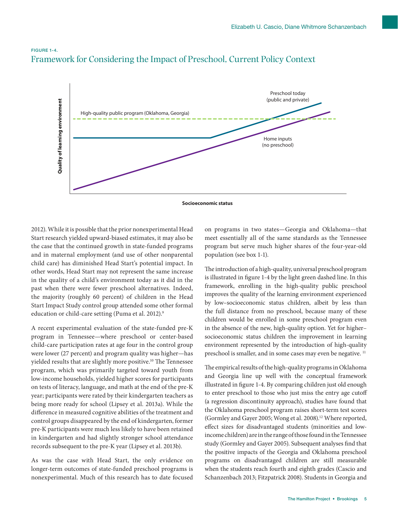

### FIGURE 1-4. Framework for Considering the Impact of Preschool, Current Policy Context



2012). While it is possible that the prior nonexperimental Head Start research yielded upward-biased estimates, it may also be the case that the continued growth in state-funded programs and in maternal employment (and use of other nonparental child care) has diminished Head Start's potential impact. In other words, Head Start may not represent the same increase in the quality of a child's environment today as it did in the past when there were fewer preschool alternatives. Indeed, the majority (roughly 60 percent) of children in the Head Start Impact Study control group attended some other formal education or child-care setting (Puma et al. 2012).9

A recent experimental evaluation of the state-funded pre-K program in Tennessee—where preschool or center-based child-care participation rates at age four in the control group were lower (27 percent) and program quality was higher—has yielded results that are slightly more positive.10 The Tennessee program, which was primarily targeted toward youth from low-income households, yielded higher scores for participants on tests of literacy, language, and math at the end of the pre-K year; participants were rated by their kindergarten teachers as being more ready for school (Lipsey et al. 2013a). While the difference in measured cognitive abilities of the treatment and control groups disappeared by the end of kindergarten, former pre-K participants were much less likely to have been retained in kindergarten and had slightly stronger school attendance records subsequent to the pre-K year (Lipsey et al. 2013b).

As was the case with Head Start, the only evidence on longer-term outcomes of state-funded preschool programs is nonexperimental. Much of this research has to date focused

on programs in two states—Georgia and Oklahoma—that meet essentially all of the same standards as the Tennessee program but serve much higher shares of the four-year-old population (see box 1-1).

The introduction of a high-quality, universal preschool program is illustrated in figure 1-4 by the light green dashed line. In this framework, enrolling in the high-quality public preschool improves the quality of the learning environment experienced by low–socioeconomic status children, albeit by less than the full distance from no preschool, because many of these children would be enrolled in some preschool program even in the absence of the new, high-quality option. Yet for higher– socioeconomic status children the improvement in learning environment represented by the introduction of high-quality preschool is smaller, and in some cases may even be negative. 11

The empirical results of the high-quality programs in Oklahoma and Georgia line up well with the conceptual framework illustrated in figure 1-4. By comparing children just old enough to enter preschool to those who just miss the entry age cutoff (a regression discontinuity approach), studies have found that the Oklahoma preschool program raises short-term test scores (Gormley and Gayer 2005; Wong et al. 2008).<sup>12</sup> Where reported, effect sizes for disadvantaged students (minorities and lowincome children) are in the range of those found in the Tennessee study (Gormley and Gayer 2005). Subsequent analyses find that the positive impacts of the Georgia and Oklahoma preschool programs on disadvantaged children are still measurable when the students reach fourth and eighth grades (Cascio and Schanzenbach 2013; Fitzpatrick 2008). Students in Georgia and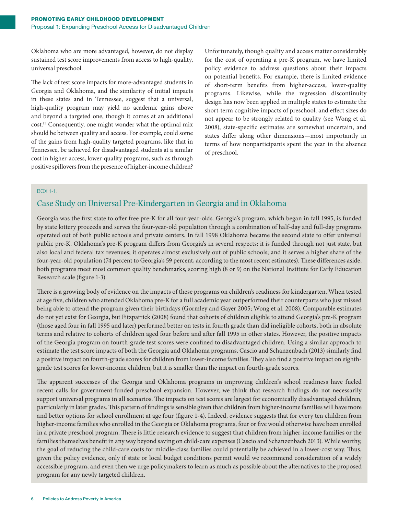Oklahoma who are more advantaged, however, do not display sustained test score improvements from access to high-quality, universal preschool.

The lack of test score impacts for more-advantaged students in Georgia and Oklahoma, and the similarity of initial impacts in these states and in Tennessee, suggest that a universal, high-quality program may yield no academic gains above and beyond a targeted one, though it comes at an additional cost.13 Consequently, one might wonder what the optimal mix should be between quality and access. For example, could some of the gains from high-quality targeted programs, like that in Tennessee, be achieved for disadvantaged students at a similar cost in higher-access, lower-quality programs, such as through positive spillovers from the presence of higher-income children? Unfortunately, though quality and access matter considerably for the cost of operating a pre-K program, we have limited policy evidence to address questions about their impacts on potential benefits. For example, there is limited evidence of short-term benefits from higher-access, lower-quality programs. Likewise, while the regression discontinuity design has now been applied in multiple states to estimate the short-term cognitive impacts of preschool, and effect sizes do not appear to be strongly related to quality (see Wong et al. 2008), state-specific estimates are somewhat uncertain, and states differ along other dimensions—most importantly in terms of how nonparticipants spent the year in the absence of preschool.

#### BOX 1-1.

### Case Study on Universal Pre-Kindergarten in Georgia and in Oklahoma

Georgia was the first state to offer free pre-K for all four-year-olds. Georgia's program, which began in fall 1995, is funded by state lottery proceeds and serves the four-year-old population through a combination of half-day and full-day programs operated out of both public schools and private centers. In fall 1998 Oklahoma became the second state to offer universal public pre-K. Oklahoma's pre-K program differs from Georgia's in several respects: it is funded through not just state, but also local and federal tax revenues; it operates almost exclusively out of public schools; and it serves a higher share of the four-year-old population (74 percent to Georgia's 59 percent, according to the most recent estimates). These differences aside, both programs meet most common quality benchmarks, scoring high (8 or 9) on the National Institute for Early Education Research scale (figure 1-3).

There is a growing body of evidence on the impacts of these programs on children's readiness for kindergarten. When tested at age five, children who attended Oklahoma pre-K for a full academic year outperformed their counterparts who just missed being able to attend the program given their birthdays (Gormley and Gayer 2005; Wong et al. 2008). Comparable estimates do not yet exist for Georgia, but Fitzpatrick (2008) found that cohorts of children eligible to attend Georgia's pre-K program (those aged four in fall 1995 and later) performed better on tests in fourth grade than did ineligible cohorts, both in absolute terms and relative to cohorts of children aged four before and after fall 1995 in other states. However, the positive impacts of the Georgia program on fourth-grade test scores were confined to disadvantaged children. Using a similar approach to estimate the test score impacts of both the Georgia and Oklahoma programs, Cascio and Schanzenbach (2013) similarly find a positive impact on fourth-grade scores for children from lower-income families. They also find a positive impact on eighthgrade test scores for lower-income children, but it is smaller than the impact on fourth-grade scores.

The apparent successes of the Georgia and Oklahoma programs in improving children's school readiness have fueled recent calls for government-funded preschool expansion. However, we think that research findings do not necessarily support universal programs in all scenarios. The impacts on test scores are largest for economically disadvantaged children, particularly in later grades. This pattern of findings is sensible given that children from higher-income families will have more and better options for school enrollment at age four (figure 1-4). Indeed, evidence suggests that for every ten children from higher-income families who enrolled in the Georgia or Oklahoma programs, four or five would otherwise have been enrolled in a private preschool program. There is little research evidence to suggest that children from higher-income families or the families themselves benefit in any way beyond saving on child-care expenses (Cascio and Schanzenbach 2013). While worthy, the goal of reducing the child-care costs for middle-class families could potentially be achieved in a lower-cost way. Thus, given the policy evidence, only if state or local budget conditions permit would we recommend consideration of a widely accessible program, and even then we urge policymakers to learn as much as possible about the alternatives to the proposed program for any newly targeted children.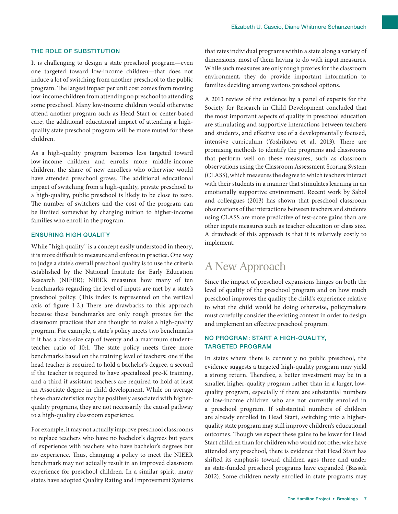#### THE ROLE OF SUBSTITUTION

It is challenging to design a state preschool program—even one targeted toward low-income children—that does not induce a lot of switching from another preschool to the public program. The largest impact per unit cost comes from moving low-income children from attending no preschool to attending some preschool. Many low-income children would otherwise attend another program such as Head Start or center-based care; the additional educational impact of attending a highquality state preschool program will be more muted for these children.

As a high-quality program becomes less targeted toward low-income children and enrolls more middle-income children, the share of new enrollees who otherwise would have attended preschool grows. The additional educational impact of switching from a high-quality, private preschool to a high-quality, public preschool is likely to be close to zero. The number of switchers and the cost of the program can be limited somewhat by charging tuition to higher-income families who enroll in the program.

#### ENSURING HIGH QUALITY

While "high quality" is a concept easily understood in theory, it is more difficult to measure and enforce in practice. One way to judge a state's overall preschool quality is to use the criteria established by the National Institute for Early Education Research (NIEER); NIEER measures how many of ten benchmarks regarding the level of inputs are met by a state's preschool policy. (This index is represented on the vertical axis of figure 1-2.) There are drawbacks to this approach because these benchmarks are only rough proxies for the classroom practices that are thought to make a high-quality program. For example, a state's policy meets two benchmarks if it has a class-size cap of twenty and a maximum student– teacher ratio of 10:1. The state policy meets three more benchmarks based on the training level of teachers: one if the head teacher is required to hold a bachelor's degree, a second if the teacher is required to have specialized pre-K training, and a third if assistant teachers are required to hold at least an Associate degree in child development. While on average these characteristics may be positively associated with higherquality programs, they are not necessarily the causal pathway to a high-quality classroom experience.

For example, it may not actually improve preschool classrooms to replace teachers who have no bachelor's degrees but years of experience with teachers who have bachelor's degrees but no experience. Thus, changing a policy to meet the NIEER benchmark may not actually result in an improved classroom experience for preschool children. In a similar spirit, many states have adopted Quality Rating and Improvement Systems

that rates individual programs within a state along a variety of dimensions, most of them having to do with input measures. While such measures are only rough proxies for the classroom environment, they do provide important information to families deciding among various preschool options.

A 2013 review of the evidence by a panel of experts for the Society for Research in Child Development concluded that the most important aspects of quality in preschool education are stimulating and supportive interactions between teachers and students, and effective use of a developmentally focused, intensive curriculum (Yoshikawa et al. 2013). There are promising methods to identify the programs and classrooms that perform well on these measures, such as classroom observations using the Classroom Assessment Scoring System (CLASS), which measures the degree to which teachers interact with their students in a manner that stimulates learning in an emotionally supportive environment. Recent work by Sabol and colleagues (2013) has shown that preschool classroom observations of the interactions between teachers and students using CLASS are more predictive of test-score gains than are other inputs measures such as teacher education or class size. A drawback of this approach is that it is relatively costly to implement.

## A New Approach

Since the impact of preschool expansions hinges on both the level of quality of the preschool program and on how much preschool improves the quality the child's experience relative to what the child would be doing otherwise, policymakers must carefully consider the existing context in order to design and implement an effective preschool program.

#### NO PROGRAM: START A HIGH-QUALITY, TARGETED PROGRAM

In states where there is currently no public preschool, the evidence suggests a targeted high-quality program may yield a strong return. Therefore, a better investment may be in a smaller, higher-quality program rather than in a larger, lowquality program, especially if there are substantial numbers of low-income children who are not currently enrolled in a preschool program. If substantial numbers of children are already enrolled in Head Start, switching into a higherquality state program may still improve children's educational outcomes. Though we expect these gains to be lower for Head Start children than for children who would not otherwise have attended any preschool, there is evidence that Head Start has shifted its emphasis toward children ages three and under as state-funded preschool programs have expanded (Bassok 2012). Some children newly enrolled in state programs may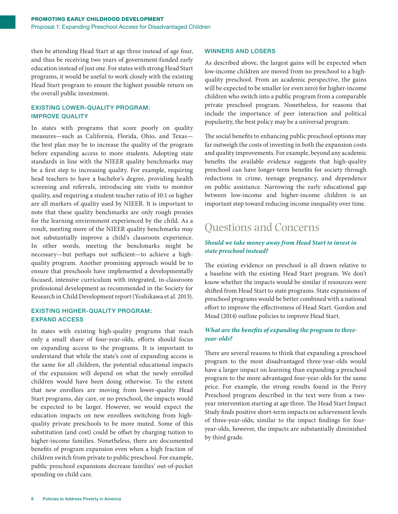then be attending Head Start at age three instead of age four, and thus be receiving two years of government-funded early education instead of just one. For states with strong Head Start programs, it would be useful to work closely with the existing Head Start program to ensure the highest possible return on the overall public investment.

#### EXISTING LOWER-QUALITY PROGRAM: IMPROVE QUALITY

In states with programs that score poorly on quality measures—such as California, Florida, Ohio, and Texas the best plan may be to increase the quality of the program before expanding access to more students. Adopting state standards in line with the NIEER quality benchmarks may be a first step to increasing quality. For example, requiring head teachers to have a bachelor's degree, providing health screening and referrals, introducing site visits to monitor quality, and requiring a student-teacher ratio of 10:1 or higher are all markers of quality used by NIEER. It is important to note that these quality benchmarks are only rough proxies for the learning environment experienced by the child. As a result, meeting more of the NIEER quality benchmarks may not substantially improve a child's classroom experience. In other words, meeting the benchmarks might be necessary—but perhaps not sufficient—to achieve a highquality program. Another promising approach would be to ensure that preschools have implemented a developmentally focused, intensive curriculum with integrated, in-classroom professional development as recommended in the Society for Research in Child Development report (Yoshikawa et al. 2013).

#### EXISTING HIGHER-QUALITY PROGRAM: EXPAND ACCESS

In states with existing high-quality programs that reach only a small share of four-year-olds, efforts should focus on expanding access to the programs. It is important to understand that while the state's cost of expanding access is the same for all children, the potential educational impacts of the expansion will depend on what the newly enrolled children would have been doing otherwise. To the extent that new enrollees are moving from lower-quality Head Start programs, day care, or no preschool, the impacts would be expected to be larger. However, we would expect the education impacts on new enrollees switching from highquality private preschools to be more muted. Some of this substitution (and cost) could be offset by charging tuition to higher-income families. Nonetheless, there are documented benefits of program expansion even when a high fraction of children switch from private to public preschool. For example, public preschool expansions decrease families' out-of-pocket spending on child care.

#### WINNERS AND LOSERS

As described above, the largest gains will be expected when low-income children are moved from no preschool to a highquality preschool. From an academic perspective, the gains will be expected to be smaller (or even zero) for higher-income children who switch into a public program from a comparable private preschool program. Nonetheless, for reasons that include the importance of peer interaction and political popularity, the best policy may be a universal program.

The social benefits to enhancing public preschool options may far outweigh the costs of investing in both the expansion costs and quality improvements. For example, beyond any academic benefits the available evidence suggests that high-quality preschool can have longer-term benefits for society through reductions in crime, teenage pregnancy, and dependence on public assistance. Narrowing the early educational gap between low-income and higher-income children is an important step toward reducing income inequality over time.

# Questions and Concerns

#### *Should we take money away from Head Start to invest in state preschool instead?*

The existing evidence on preschool is all drawn relative to a baseline with the existing Head Start program. We don't know whether the impacts would be similar if resources were shifted from Head Start to state programs. State expansions of preschool programs would be better combined with a national effort to improve the effectiveness of Head Start. Gordon and Mead (2014) outline policies to improve Head Start.

#### *What are the benefits of expanding the program to threeyear-olds?*

There are several reasons to think that expanding a preschool program to the most disadvantaged three-year-olds would have a larger impact on learning than expanding a preschool program to the more advantaged four-year-olds for the same price. For example, the strong results found in the Perry Preschool program described in the text were from a twoyear intervention starting at age three. The Head Start Impact Study finds positive short-term impacts on achievement levels of three-year-olds; similar to the impact findings for fouryear-olds, however, the impacts are substantially diminished by third grade.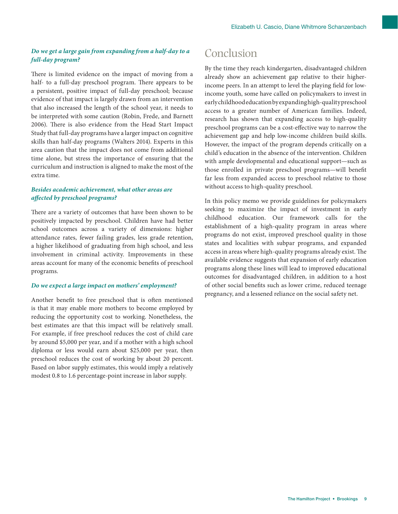#### *Do we get a large gain from expanding from a half-day to a full-day program?*

There is limited evidence on the impact of moving from a half- to a full-day preschool program. There appears to be a persistent, positive impact of full-day preschool; because evidence of that impact is largely drawn from an intervention that also increased the length of the school year, it needs to be interpreted with some caution (Robin, Frede, and Barnett 2006). There is also evidence from the Head Start Impact Study that full-day programs have a larger impact on cognitive skills than half-day programs (Walters 2014). Experts in this area caution that the impact does not come from additional time alone, but stress the importance of ensuring that the curriculum and instruction is aligned to make the most of the extra time.

#### *Besides academic achievement, what other areas are affected by preschool programs?*

There are a variety of outcomes that have been shown to be positively impacted by preschool. Children have had better school outcomes across a variety of dimensions: higher attendance rates, fewer failing grades, less grade retention, a higher likelihood of graduating from high school, and less involvement in criminal activity. Improvements in these areas account for many of the economic benefits of preschool programs.

#### *Do we expect a large impact on mothers' employment?*

Another benefit to free preschool that is often mentioned is that it may enable more mothers to become employed by reducing the opportunity cost to working. Nonetheless, the best estimates are that this impact will be relatively small. For example, if free preschool reduces the cost of child care by around \$5,000 per year, and if a mother with a high school diploma or less would earn about \$25,000 per year, then preschool reduces the cost of working by about 20 percent. Based on labor supply estimates, this would imply a relatively modest 0.8 to 1.6 percentage-point increase in labor supply.

## Conclusion

By the time they reach kindergarten, disadvantaged children already show an achievement gap relative to their higherincome peers. In an attempt to level the playing field for lowincome youth, some have called on policymakers to invest in early childhood education by expanding high-quality preschool access to a greater number of American families. Indeed, research has shown that expanding access to high-quality preschool programs can be a cost-effective way to narrow the achievement gap and help low-income children build skills. However, the impact of the program depends critically on a child's education in the absence of the intervention. Children with ample developmental and educational support—such as those enrolled in private preschool programs—will benefit far less from expanded access to preschool relative to those without access to high-quality preschool.

In this policy memo we provide guidelines for policymakers seeking to maximize the impact of investment in early childhood education. Our framework calls for the establishment of a high-quality program in areas where programs do not exist, improved preschool quality in those states and localities with subpar programs, and expanded access in areas where high-quality programs already exist. The available evidence suggests that expansion of early education programs along these lines will lead to improved educational outcomes for disadvantaged children, in addition to a host of other social benefits such as lower crime, reduced teenage pregnancy, and a lessened reliance on the social safety net.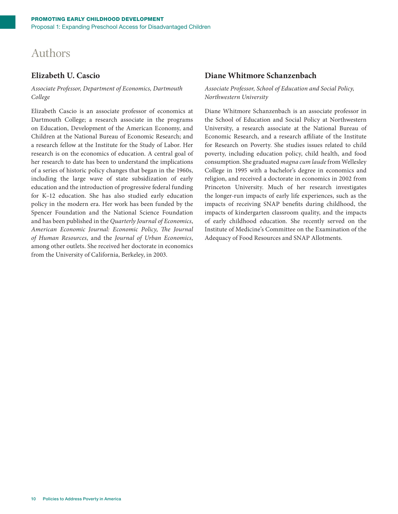# Authors

### **Elizabeth U. Cascio**

#### *Associate Professor, Department of Economics, Dartmouth College*

Elizabeth Cascio is an associate professor of economics at Dartmouth College; a research associate in the programs on Education, Development of the American Economy, and Children at the National Bureau of Economic Research; and a research fellow at the Institute for the Study of Labor. Her research is on the economics of education. A central goal of her research to date has been to understand the implications of a series of historic policy changes that began in the 1960s, including the large wave of state subsidization of early education and the introduction of progressive federal funding for K–12 education. She has also studied early education policy in the modern era. Her work has been funded by the Spencer Foundation and the National Science Foundation and has been published in the *Quarterly Journal of Economics*, *American Economic Journal: Economic Policy*, *The Journal of Human Resources*, and the *Journal of Urban Economics*, among other outlets. She received her doctorate in economics from the University of California, Berkeley, in 2003.

### **Diane Whitmore Schanzenbach**

#### *Associate Professor, School of Education and Social Policy, Northwestern University*

Diane Whitmore Schanzenbach is an associate professor in the School of Education and Social Policy at Northwestern University, a research associate at the National Bureau of Economic Research, and a research affiliate of the Institute for Research on Poverty. She studies issues related to child poverty, including education policy, child health, and food consumption. She graduated *magna cum laude* from Wellesley College in 1995 with a bachelor's degree in economics and religion, and received a doctorate in economics in 2002 from Princeton University. Much of her research investigates the longer-run impacts of early life experiences, such as the impacts of receiving SNAP benefits during childhood, the impacts of kindergarten classroom quality, and the impacts of early childhood education. She recently served on the Institute of Medicine's Committee on the Examination of the Adequacy of Food Resources and SNAP Allotments.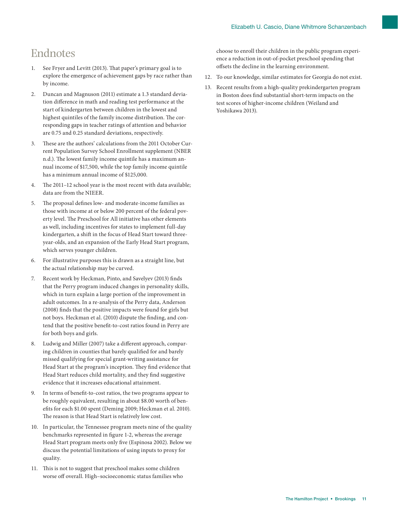# Endnotes

- 1. See Fryer and Levitt (2013). That paper's primary goal is to explore the emergence of achievement gaps by race rather than by income.
- 2. Duncan and Magnuson (2011) estimate a 1.3 standard deviation difference in math and reading test performance at the start of kindergarten between children in the lowest and highest quintiles of the family income distribution. The corresponding gaps in teacher ratings of attention and behavior are 0.75 and 0.25 standard deviations, respectively.
- 3. These are the authors' calculations from the 2011 October Current Population Survey School Enrollment supplement (NBER n.d.). The lowest family income quintile has a maximum annual income of \$17,500, while the top family income quintile has a minimum annual income of \$125,000.
- 4. The 2011–12 school year is the most recent with data available; data are from the NIEER.
- 5. The proposal defines low- and moderate-income families as those with income at or below 200 percent of the federal poverty level. The Preschool for All initiative has other elements as well, including incentives for states to implement full-day kindergarten, a shift in the focus of Head Start toward threeyear-olds, and an expansion of the Early Head Start program, which serves younger children.
- 6. For illustrative purposes this is drawn as a straight line, but the actual relationship may be curved.
- 7. Recent work by Heckman, Pinto, and Savelyev (2013) finds that the Perry program induced changes in personality skills, which in turn explain a large portion of the improvement in adult outcomes. In a re-analysis of the Perry data, Anderson (2008) finds that the positive impacts were found for girls but not boys. Heckman et al. (2010) dispute the finding, and contend that the positive benefit-to-cost ratios found in Perry are for both boys and girls.
- 8. Ludwig and Miller (2007) take a different approach, comparing children in counties that barely qualified for and barely missed qualifying for special grant-writing assistance for Head Start at the program's inception. They find evidence that Head Start reduces child mortality, and they find suggestive evidence that it increases educational attainment.
- 9. In terms of benefit-to-cost ratios, the two programs appear to be roughly equivalent, resulting in about \$8.00 worth of benefits for each \$1.00 spent (Deming 2009; Heckman et al. 2010). The reason is that Head Start is relatively low cost.
- 10. In particular, the Tennessee program meets nine of the quality benchmarks represented in figure 1-2, whereas the average Head Start program meets only five (Espinosa 2002). Below we discuss the potential limitations of using inputs to proxy for quality.
- 11. This is not to suggest that preschool makes some children worse off overall. High–socioeconomic status families who

choose to enroll their children in the public program experience a reduction in out-of-pocket preschool spending that offsets the decline in the learning environment.

- 12. To our knowledge, similar estimates for Georgia do not exist.
- 13. Recent results from a high-quality prekindergarten program in Boston does find substantial short-term impacts on the test scores of higher-income children (Weiland and Yoshikawa 2013).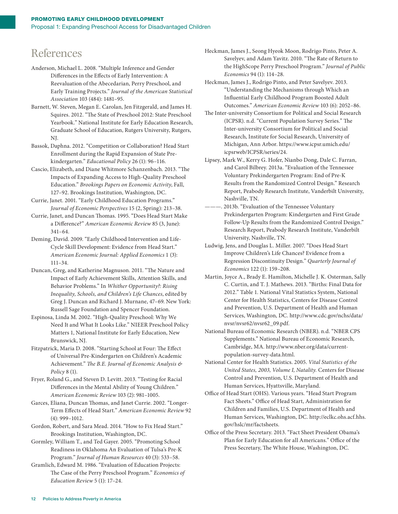# References

- Anderson, Michael L. 2008. "Multiple Inference and Gender Differences in the Effects of Early Intervention: A Reevaluation of the Abecedarian, Perry Preschool, and Early Training Projects." *Journal of the American Statistical Association* 103 (484): 1481–95.
- Barnett, W. Steven, Megan E. Carolan, Jen Fitzgerald, and James H. Squires. 2012. "The State of Preschool 2012: State Preschool Yearbook." National Institute for Early Education Research, Graduate School of Education, Rutgers University, Rutgers, NJ.
- Bassok, Daphna. 2012. "Competition or Collaboration? Head Start Enrollment during the Rapid Expansion of State Prekindergarten." *Educational Policy* 26 (1): 96–116.
- Cascio, Elizabeth, and Diane Whitmore Schanzenbach. 2013. "The Impacts of Expanding Access to High-Quality Preschool Education." *Brookings Papers on Economic Activity*, Fall, 127–92. Brookings Institution, Washington, DC.
- Currie, Janet. 2001. "Early Childhood Education Programs." *Journal of Economic Perspectives* 15 (2, Spring): 213–38.
- Currie, Janet, and Duncan Thomas. 1995. "Does Head Start Make a Difference?" *American Economic Review* 85 (3, June): 341–64.
- Deming, David. 2009. "Early Childhood Intervention and Life-Cycle Skill Development: Evidence from Head Start." *American Economic Journal: Applied Economics* 1 (3): 111–34.
- Duncan, Greg, and Katherine Magnuson. 2011. "The Nature and Impact of Early Achievement Skills, Attention Skills, and Behavior Problems." In *Whither Opportunity?: Rising Inequality, Schools, and Children's Life Chances*, edited by Greg J. Duncan and Richard J. Murnane, 47–69. New York: Russell Sage Foundation and Spencer Foundation.
- Espinosa, Linda M. 2002. "High-Quality Preschool: Why We Need It and What It Looks Like." NIEER Preschool Policy Matters 1, National Institute for Early Education, New Brunswick, NJ.
- Fitzpatrick, Maria D. 2008. "Starting School at Four: The Effect of Universal Pre-Kindergarten on Children's Academic Achievement." *The B.E. Journal of Economic Analysis & Policy* 8 (1).
- Fryer, Roland G., and Steven D. Levitt. 2013. "Testing for Racial Differences in the Mental Ability of Young Children." *American Economic Review* 103 (2): 981–1005.
- Garces, Eliana, Duncan Thomas, and Janet Currie. 2002. "Longer-Term Effects of Head Start." *American Economic Review* 92 (4): 999–1012.
- Gordon, Robert, and Sara Mead. 2014. "How to Fix Head Start." Brookings Institution, Washington, DC.
- Gormley, William T., and Ted Gayer. 2005. "Promoting School Readiness in Oklahoma An Evaluation of Tulsa's Pre-K Program." *Journal of Human Resources* 40 (3): 533–58.
- Gramlich, Edward M. 1986. "Evaluation of Education Projects: The Case of the Perry Preschool Program." *Economics of Education Review* 5 (1): 17–24.
- Heckman, James J., Seong Hyeok Moon, Rodrigo Pinto, Peter A. Savelyev, and Adam Yavitz. 2010. "The Rate of Return to the HighScope Perry Preschool Program." *Journal of Public Economics* 94 (1): 114–28.
- Heckman, James J., Rodrigo Pinto, and Peter Savelyev. 2013. "Understanding the Mechanisms through Which an Influential Early Childhood Program Boosted Adult Outcomes." *American Economic Review* 103 (6): 2052–86.
- The Inter-university Consortium for Political and Social Research (ICPSR). n.d. "Current Population Survey Series." The Inter-university Consortium for Political and Social Research, Institute for Social Research, University of Michigan, Ann Arbor. https://www.icpsr.umich.edu/ icpsrweb/ICPSR/series/24.
- Lipsey, Mark W., Kerry G. Hofer, Nianbo Dong, Dale C. Farran, and Carol Bilbrey. 2013a. "Evaluation of the Tennessee Voluntary Prekindergarten Program: End of Pre-K Results from the Randomized Control Design." Research Report, Peabody Research Institute, Vanderbilt University, Nashville, TN.
- . 2013b. "Evaluation of the Tennessee Voluntary Prekindergarten Program: Kindergarten and First Grade Follow-Up Results from the Randomized Control Design." Research Report, Peabody Research Institute, Vanderbilt University, Nashville, TN.
- Ludwig, Jens, and Douglas L. Miller. 2007. "Does Head Start Improve Children's Life Chances? Evidence from a Regression Discontinuity Design." *Quarterly Journal of Economics* 122 (1): 159–208.
- Martin, Joyce A., Brady E. Hamilton, Michelle J. K. Osterman, Sally C. Curtin, and T. J. Mathews. 2013. "Births: Final Data for 2012." Table 1. National Vital Statistics System, National Center for Health Statistics, Centers for Disease Control and Prevention, U.S. Department of Health and Human Services, Washington, DC. http://www.cdc.gov/nchs/data/ nvsr/nvsr62/nvsr62\_09.pdf.
- National Bureau of Economic Research (NBER). n.d. "NBER CPS Supplements." National Bureau of Economic Research, Cambridge, MA. http://www.nber.org/data/currentpopulation-survey-data.html.
- National Center for Health Statistics. 2005. *Vital Statistics of the United States, 2003, Volume I, Natality.* Centers for Disease Control and Prevention, U.S. Department of Health and Human Services, Hyattsville, Maryland.
- Office of Head Start (OHS). Various years. "Head Start Program Fact Sheets." Office of Head Start, Administration for Children and Families, U.S. Department of Health and Human Services, Washington, DC. http://eclkc.ohs.acf.hhs. gov/hslc/mr/factsheets.
- Office of the Press Secretary. 2013. "Fact Sheet President Obama's Plan for Early Education for all Americans." Office of the Press Secretary, The White House, Washington, DC.